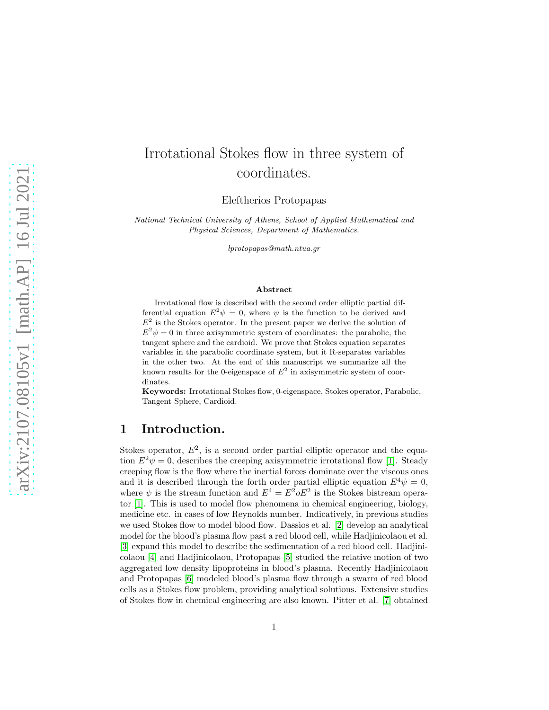# Irrotational Stokes flow in three system of coordinates.

Eleftherios Protopapas

National Technical University of Athens, School of Applied Mathematical and Physical Sciences, Department of Mathematics.

lprotopapas@math.ntua.gr

#### Abstract

Irrotational flow is described with the second order elliptic partial differential equation  $E^2 \psi = 0$ , where  $\psi$  is the function to be derived and  $E<sup>2</sup>$  is the Stokes operator. In the present paper we derive the solution of  $E^2 \psi = 0$  in three axisymmetric system of coordinates: the parabolic, the tangent sphere and the cardioid. We prove that Stokes equation separates variables in the parabolic coordinate system, but it R-separates variables in the other two. At the end of this manuscript we summarize all the known results for the 0-eigenspace of  $E^2$  in axisymmetric system of coordinates.

Keywords: Irrotational Stokes flow, 0-eigenspace, Stokes operator, Parabolic, Tangent Sphere, Cardioid.

### 1 Introduction.

Stokes operator,  $E^2$ , is a second order partial elliptic operator and the equation  $E^2 \psi = 0$ , describes the creeping axisymmetric irrotational flow [\[1\]](#page-7-0). Steady creeping flow is the flow where the inertial forces dominate over the viscous ones and it is described through the forth order partial elliptic equation  $E^4 \psi = 0$ , where  $\psi$  is the stream function and  $E^4 = E^2 o E^2$  is the Stokes bistream operator [\[1\]](#page-7-0). This is used to model flow phenomena in chemical engineering, biology, medicine etc. in cases of low Reynolds number. Indicatively, in previous studies we used Stokes flow to model blood flow. Dassios et al. [\[2\]](#page-7-1) develop an analytical model for the blood's plasma flow past a red blood cell, while Hadjinicolaou et al. [\[3\]](#page-7-2) expand this model to describe the sedimentation of a red blood cell. Hadjinicolaou [\[4\]](#page-7-3) and Hadjinicolaou, Protopapas [\[5\]](#page-7-4) studied the relative motion of two aggregated low density lipoproteins in blood's plasma. Recently Hadjinicolaou and Protopapas [\[6\]](#page-7-5) modeled blood's plasma flow through a swarm of red blood cells as a Stokes flow problem, providing analytical solutions. Extensive studies of Stokes flow in chemical engineering are also known. Pitter et al. [\[7\]](#page-7-6) obtained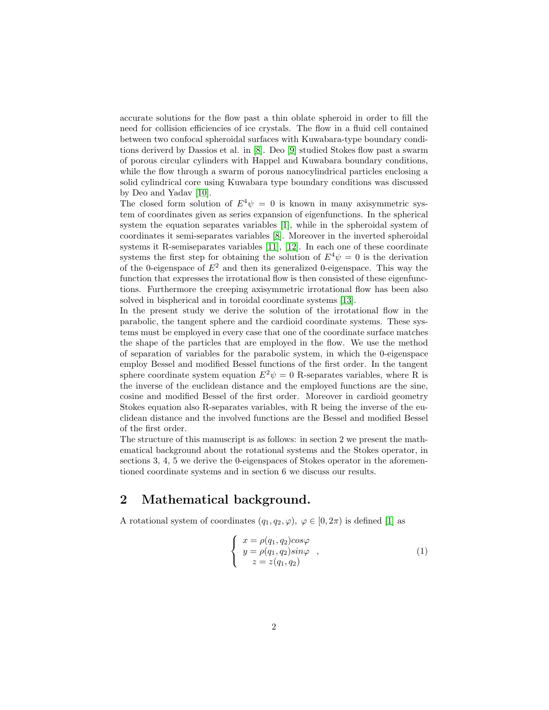accurate solutions for the flow past a thin oblate spheroid in order to fill the need for collision efficiencies of ice crystals. The flow in a fluid cell contained between two confocal spheroidal surfaces with Kuwabara-type boundary conditions deriverd by Dassios et al. in [\[8\]](#page-7-7). Deo [\[9\]](#page-7-8) studied Stokes flow past a swarm of porous circular cylinders with Happel and Kuwabara boundary conditions, while the flow through a swarm of porous nanocylindrical particles enclosing a solid cylindrical core using Kuwabara type boundary conditions was discussed by Deo and Yadav [\[10\]](#page-7-9).

The closed form solution of  $E^4\psi = 0$  is known in many axisymmetric system of coordinates given as series expansion of eigenfunctions. In the spherical system the equation separates variables [\[1\]](#page-7-0), while in the spheroidal system of coordinates it semi-separates variables [\[8\]](#page-7-7). Moreover in the inverted spheroidal systems it R-semiseparates variables [\[11\]](#page-7-10), [\[12\]](#page-8-0). In each one of these coordinate systems the first step for obtaining the solution of  $E^4\psi = 0$  is the derivation of the 0-eigenspace of  $E^2$  and then its generalized 0-eigenspace. This way the function that expresses the irrotational flow is then consisted of these eigenfunctions. Furthermore the creeping axisymmetric irrotational flow has been also solved in bispherical and in toroidal coordinate systems [\[13\]](#page-8-1).

In the present study we derive the solution of the irrotational flow in the parabolic, the tangent sphere and the cardioid coordinate systems. These systems must be employed in every case that one of the coordinate surface matches the shape of the particles that are employed in the flow. We use the method of separation of variables for the parabolic system, in which the 0-eigenspace employ Bessel and modified Bessel functions of the first order. In the tangent sphere coordinate system equation  $E^2 \psi = 0$  R-separates variables, where R is the inverse of the euclidean distance and the employed functions are the sine, cosine and modified Bessel of the first order. Moreover in cardioid geometry Stokes equation also R-separates variables, with R being the inverse of the euclidean distance and the involved functions are the Bessel and modified Bessel of the first order.

The structure of this manuscript is as follows: in section 2 we present the mathematical background about the rotational systems and the Stokes operator, in sections 3, 4, 5 we derive the 0-eigenspaces of Stokes operator in the aforementioned coordinate systems and in section 6 we discuss our results.

### 2 Mathematical background.

A rotational system of coordinates  $(q_1, q_2, \varphi)$ ,  $\varphi \in [0, 2\pi)$  is defined [\[1\]](#page-7-0) as

$$
\begin{cases}\n x = \rho(q_1, q_2) \cos \varphi \\
y = \rho(q_1, q_2) \sin \varphi \\
z = z(q_1, q_2)\n\end{cases}
$$
\n(1)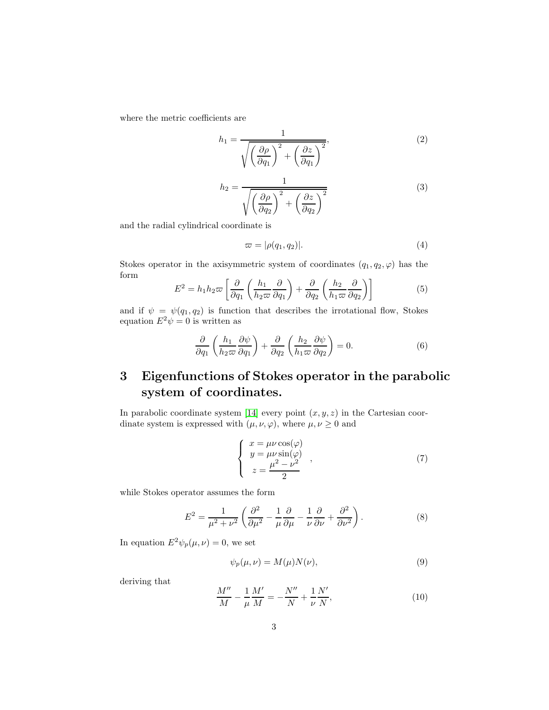where the metric coefficients are

$$
h_1 = \frac{1}{\sqrt{\left(\frac{\partial \rho}{\partial q_1}\right)^2 + \left(\frac{\partial z}{\partial q_1}\right)^2}},\tag{2}
$$

$$
h_2 = \frac{1}{\sqrt{\left(\frac{\partial \rho}{\partial q_2}\right)^2 + \left(\frac{\partial z}{\partial q_2}\right)^2}}
$$
(3)

and the radial cylindrical coordinate is

$$
\varpi = |\rho(q_1, q_2)|. \tag{4}
$$

Stokes operator in the axisymmetric system of coordinates  $(q_1, q_2, \varphi)$  has the form

$$
E^2 = h_1 h_2 \varpi \left[ \frac{\partial}{\partial q_1} \left( \frac{h_1}{h_2 \varpi} \frac{\partial}{\partial q_1} \right) + \frac{\partial}{\partial q_2} \left( \frac{h_2}{h_1 \varpi} \frac{\partial}{\partial q_2} \right) \right]
$$
(5)

and if  $\psi = \psi(q_1, q_2)$  is function that describes the irrotational flow, Stokes equation  $E^2 \psi = 0$  is written as

$$
\frac{\partial}{\partial q_1} \left( \frac{h_1}{h_2 \varpi} \frac{\partial \psi}{\partial q_1} \right) + \frac{\partial}{\partial q_2} \left( \frac{h_2}{h_1 \varpi} \frac{\partial \psi}{\partial q_2} \right) = 0. \tag{6}
$$

## 3 Eigenfunctions of Stokes operator in the parabolic system of coordinates.

In parabolic coordinate system [\[14\]](#page-8-2) every point  $(x, y, z)$  in the Cartesian coordinate system is expressed with  $(\mu, \nu, \varphi)$ , where  $\mu, \nu \geq 0$  and

$$
\begin{cases}\n x = \mu \nu \cos(\varphi) \\
y = \mu \nu \sin(\varphi) \\
z = \frac{\mu^2 - \nu^2}{2}\n\end{cases}
$$
\n(7)

while Stokes operator assumes the form

$$
E^{2} = \frac{1}{\mu^{2} + \nu^{2}} \left( \frac{\partial^{2}}{\partial \mu^{2}} - \frac{1}{\mu} \frac{\partial}{\partial \mu} - \frac{1}{\nu} \frac{\partial}{\partial \nu} + \frac{\partial^{2}}{\partial \nu^{2}} \right).
$$
 (8)

In equation  $E^2 \psi_p(\mu, \nu) = 0$ , we set

$$
\psi_p(\mu,\nu) = M(\mu)N(\nu),\tag{9}
$$

deriving that

<span id="page-2-0"></span>
$$
\frac{M''}{M} - \frac{1}{\mu} \frac{M'}{M} = -\frac{N''}{N} + \frac{1}{\nu} \frac{N'}{N},\tag{10}
$$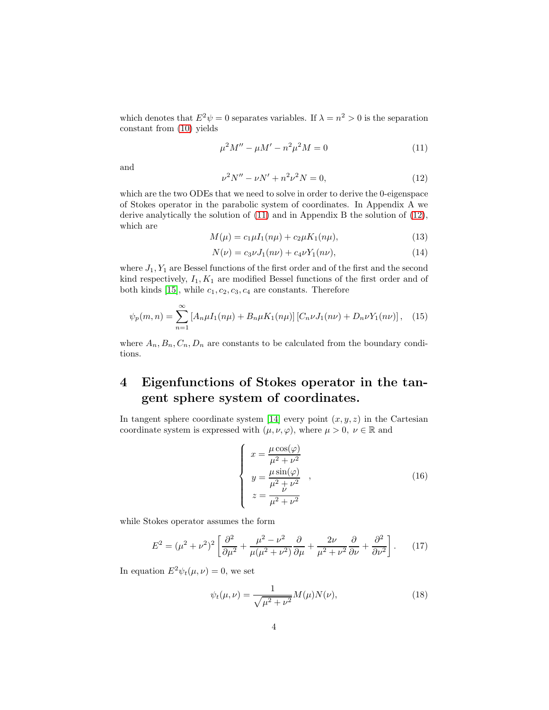which denotes that  $E^2 \psi = 0$  separates variables. If  $\lambda = n^2 > 0$  is the separation constant from [\(10\)](#page-2-0) yields

<span id="page-3-0"></span>
$$
\mu^2 M'' - \mu M' - n^2 \mu^2 M = 0 \tag{11}
$$

and

<span id="page-3-1"></span>
$$
\nu^2 N'' - \nu N' + n^2 \nu^2 N = 0,\tag{12}
$$

which are the two ODEs that we need to solve in order to derive the 0-eigenspace of Stokes operator in the parabolic system of coordinates. In Appendix A we derive analytically the solution of [\(11\)](#page-3-0) and in Appendix B the solution of [\(12\)](#page-3-1), which are

$$
M(\mu) = c_1 \mu I_1(n\mu) + c_2 \mu K_1(n\mu), \tag{13}
$$

$$
N(\nu) = c_3 \nu J_1(n\nu) + c_4 \nu Y_1(n\nu), \tag{14}
$$

where  $J_1, Y_1$  are Bessel functions of the first order and of the first and the second kind respectively,  $I_1, K_1$  are modified Bessel functions of the first order and of both kinds [\[15\]](#page-8-3), while  $c_1, c_2, c_3, c_4$  are constants. Therefore

$$
\psi_p(m,n) = \sum_{n=1}^{\infty} \left[ A_n \mu I_1(n\mu) + B_n \mu K_1(n\mu) \right] \left[ C_n \nu J_1(n\nu) + D_n \nu Y_1(n\nu) \right], \quad (15)
$$

where  $A_n, B_n, C_n, D_n$  are constants to be calculated from the boundary conditions.

### 4 Eigenfunctions of Stokes operator in the tangent sphere system of coordinates.

In tangent sphere coordinate system [\[14\]](#page-8-2) every point  $(x, y, z)$  in the Cartesian coordinate system is expressed with  $(\mu, \nu, \varphi)$ , where  $\mu > 0$ ,  $\nu \in \mathbb{R}$  and

$$
\begin{cases}\n x = \frac{\mu \cos(\varphi)}{\mu^2 + \nu^2} \\
y = \frac{\mu \sin(\varphi)}{\mu^2 + \nu^2} \\
z = \frac{\mu}{\mu^2 + \nu^2}\n\end{cases}
$$
\n(16)

while Stokes operator assumes the form

$$
E^2 = (\mu^2 + \nu^2)^2 \left[ \frac{\partial^2}{\partial \mu^2} + \frac{\mu^2 - \nu^2}{\mu(\mu^2 + \nu^2)} \frac{\partial}{\partial \mu} + \frac{2\nu}{\mu^2 + \nu^2} \frac{\partial}{\partial \nu} + \frac{\partial^2}{\partial \nu^2} \right].
$$
 (17)

In equation  $E^2 \psi_t(\mu, \nu) = 0$ , we set

$$
\psi_t(\mu, \nu) = \frac{1}{\sqrt{\mu^2 + \nu^2}} M(\mu) N(\nu), \tag{18}
$$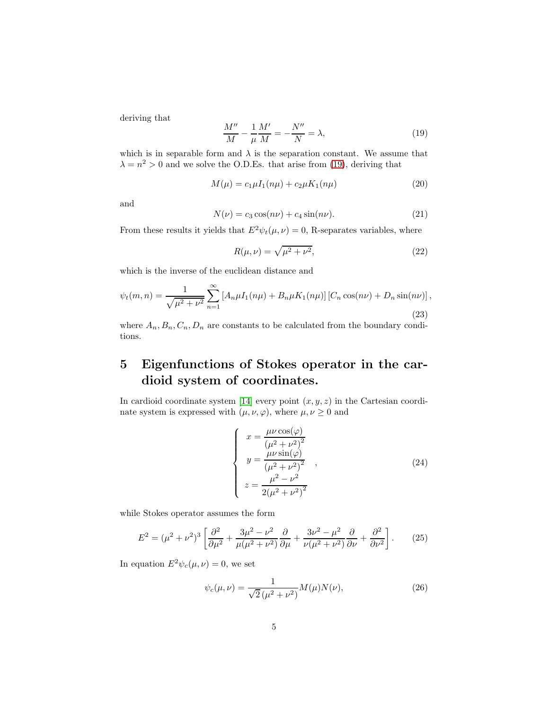deriving that

<span id="page-4-0"></span>
$$
\frac{M''}{M} - \frac{1}{\mu} \frac{M'}{M} = -\frac{N''}{N} = \lambda,
$$
\n(19)

which is in separable form and  $\lambda$  is the separation constant. We assume that  $\lambda = n^2 > 0$  and we solve the O.D.Es. that arise from [\(19\)](#page-4-0), deriving that

$$
M(\mu) = c_1 \mu I_1(n\mu) + c_2 \mu K_1(n\mu)
$$
\n(20)

and

$$
N(\nu) = c_3 \cos(n\nu) + c_4 \sin(n\nu). \tag{21}
$$

From these results it yields that  $E^2 \psi_t(\mu, \nu) = 0$ , R-separates variables, where

$$
R(\mu, \nu) = \sqrt{\mu^2 + \nu^2},
$$
\n(22)

which is the inverse of the euclidean distance and

$$
\psi_t(m,n) = \frac{1}{\sqrt{\mu^2 + \nu^2}} \sum_{n=1}^{\infty} \left[ A_n \mu I_1(n\mu) + B_n \mu K_1(n\mu) \right] \left[ C_n \cos(n\nu) + D_n \sin(n\nu) \right],\tag{23}
$$

where  $A_n, B_n, C_n, D_n$  are constants to be calculated from the boundary conditions.

### 5 Eigenfunctions of Stokes operator in the cardioid system of coordinates.

In cardioid coordinate system [\[14\]](#page-8-2) every point  $(x, y, z)$  in the Cartesian coordinate system is expressed with  $(\mu, \nu, \varphi)$ , where  $\mu, \nu \geq 0$  and

$$
\begin{cases}\n x = \frac{\mu \nu \cos(\varphi)}{(\mu^2 + \nu^2)^2} \\
y = \frac{\mu \nu \sin(\varphi)}{(\mu^2 + \nu^2)^2} \\
z = \frac{\mu^2 - \nu^2}{2(\mu^2 + \nu^2)^2}\n\end{cases} (24)
$$

while Stokes operator assumes the form

$$
E^2 = (\mu^2 + \nu^2)^3 \left[ \frac{\partial^2}{\partial \mu^2} + \frac{3\mu^2 - \nu^2}{\mu(\mu^2 + \nu^2)} \frac{\partial}{\partial \mu} + \frac{3\nu^2 - \mu^2}{\nu(\mu^2 + \nu^2)} \frac{\partial}{\partial \nu} + \frac{\partial^2}{\partial \nu^2} \right].
$$
 (25)

In equation  $E^2 \psi_c(\mu, \nu) = 0$ , we set

$$
\psi_c(\mu, \nu) = \frac{1}{\sqrt{2}(\mu^2 + \nu^2)} M(\mu) N(\nu), \tag{26}
$$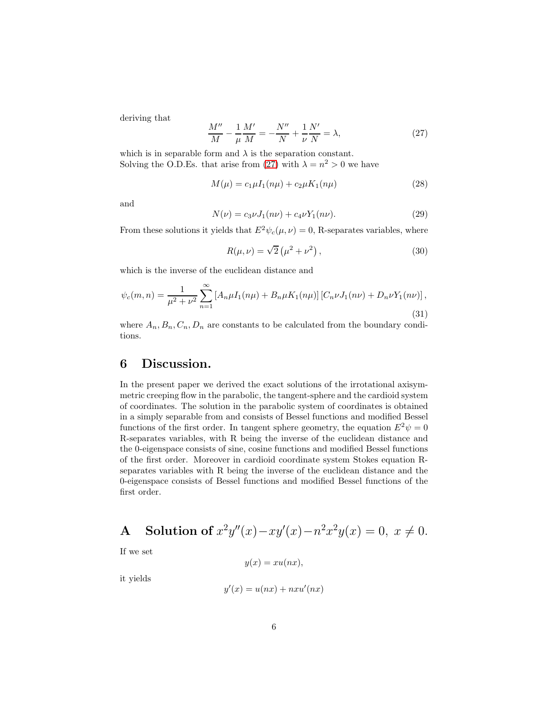deriving that

<span id="page-5-0"></span>
$$
\frac{M''}{M} - \frac{1}{\mu} \frac{M'}{M} = -\frac{N''}{N} + \frac{1}{\nu} \frac{N'}{N} = \lambda,
$$
\n(27)

which is in separable form and  $\lambda$  is the separation constant. Solving the O.D.Es. that arise from [\(27\)](#page-5-0) with  $\lambda = n^2 > 0$  we have

$$
M(\mu) = c_1 \mu I_1(n\mu) + c_2 \mu K_1(n\mu) \tag{28}
$$

and

$$
N(\nu) = c_3 \nu J_1(n\nu) + c_4 \nu Y_1(n\nu). \tag{29}
$$

From these solutions it yields that  $E^2 \psi_c(\mu, \nu) = 0$ , R-separates variables, where

$$
R(\mu, \nu) = \sqrt{2} \left( \mu^2 + \nu^2 \right), \qquad (30)
$$

which is the inverse of the euclidean distance and

$$
\psi_c(m,n) = \frac{1}{\mu^2 + \nu^2} \sum_{n=1}^{\infty} \left[ A_n \mu I_1(n\mu) + B_n \mu K_1(n\mu) \right] \left[ C_n \nu J_1(n\nu) + D_n \nu Y_1(n\nu) \right],
$$
\n(31)

where  $A_n, B_n, C_n, D_n$  are constants to be calculated from the boundary conditions.

### 6 Discussion.

In the present paper we derived the exact solutions of the irrotational axisymmetric creeping flow in the parabolic, the tangent-sphere and the cardioid system of coordinates. The solution in the parabolic system of coordinates is obtained in a simply separable from and consists of Bessel functions and modified Bessel functions of the first order. In tangent sphere geometry, the equation  $E^2 \psi = 0$ R-separates variables, with R being the inverse of the euclidean distance and the 0-eigenspace consists of sine, cosine functions and modified Bessel functions of the first order. Moreover in cardioid coordinate system Stokes equation Rseparates variables with R being the inverse of the euclidean distance and the 0-eigenspace consists of Bessel functions and modified Bessel functions of the first order.

A Solution of 
$$
x^2y''(x) - xy'(x) - n^2x^2y(x) = 0, x \neq 0
$$
.

If we set

$$
y(x) = xu(nx),
$$

it yields

$$
y'(x) = u(nx) + nxu'(nx)
$$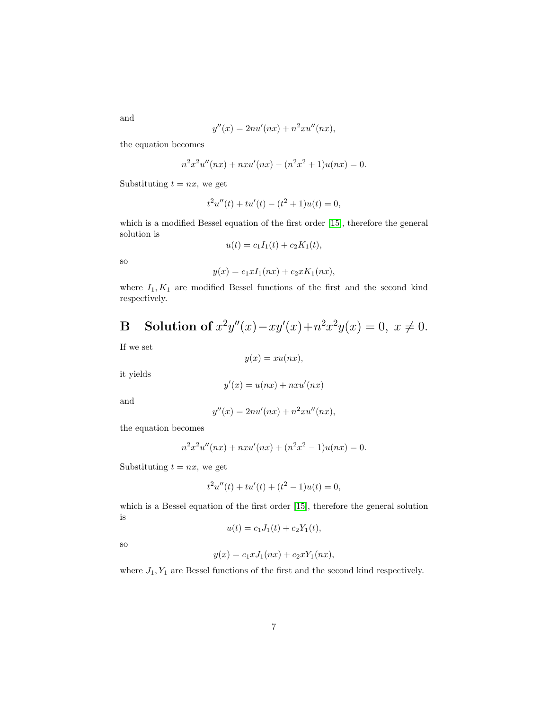and

$$
y''(x) = 2nu'(nx) + n^2xu''(nx),
$$

the equation becomes

$$
n^{2}x^{2}u''(nx) + nxu'(nx) - (n^{2}x^{2} + 1)u(nx) = 0.
$$

Substituting  $t = nx$ , we get

$$
t2u''(t) + tu'(t) - (t2 + 1)u(t) = 0,
$$

which is a modified Bessel equation of the first order [\[15\]](#page-8-3), therefore the general solution is

$$
u(t) = c_1 I_1(t) + c_2 K_1(t),
$$

so

$$
y(x) = c_1 x I_1(nx) + c_2 x K_1(nx),
$$

where  $I_1, K_1$  are modified Bessel functions of the first and the second kind respectively.

**B** Solution of 
$$
x^2y''(x) - xy'(x) + n^2x^2y(x) = 0
$$
,  $x \neq 0$ .

If we set

$$
y(x) = xu(nx),
$$

it yields

$$
y'(x) = u(nx) + nxu'(nx)
$$

and

$$
y''(x) = 2nu'(nx) + n^2xu''(nx),
$$

the equation becomes

$$
n^{2}x^{2}u''(nx) + nxu'(nx) + (n^{2}x^{2} - 1)u(nx) = 0.
$$

Substituting  $t = nx$ , we get

$$
t2u''(t) + tu'(t) + (t2 - 1)u(t) = 0,
$$

which is a Bessel equation of the first order [\[15\]](#page-8-3), therefore the general solution is

$$
u(t) = c_1 J_1(t) + c_2 Y_1(t),
$$

so

$$
y(x) = c_1 x J_1(nx) + c_2 x Y_1(nx),
$$

where  $J_1, Y_1$  are Bessel functions of the first and the second kind respectively.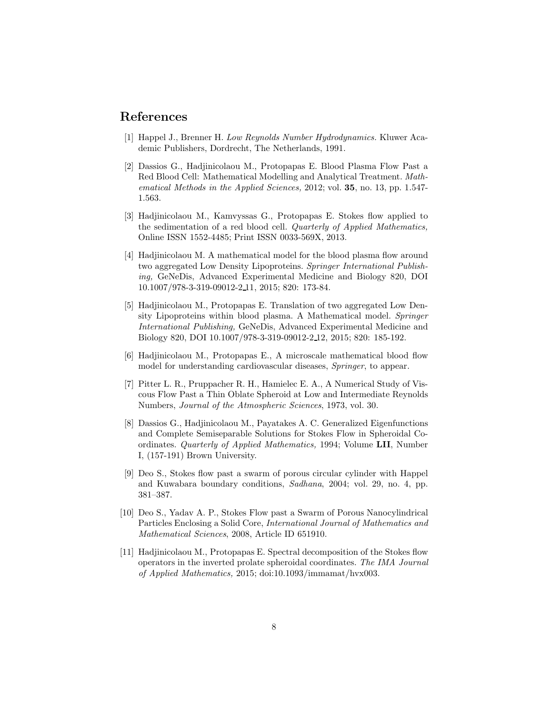#### <span id="page-7-0"></span>References

- <span id="page-7-1"></span>[1] Happel J., Brenner H. Low Reynolds Number Hydrodynamics. Kluwer Academic Publishers, Dordrecht, The Netherlands, 1991.
- [2] Dassios G., Hadjinicolaou M., Protopapas E. Blood Plasma Flow Past a Red Blood Cell: Mathematical Modelling and Analytical Treatment. Mathematical Methods in the Applied Sciences, 2012; vol. 35, no. 13, pp. 1.547-1.563.
- <span id="page-7-2"></span>[3] Hadjinicolaou M., Kamvyssas G., Protopapas E. Stokes flow applied to the sedimentation of a red blood cell. Quarterly of Applied Mathematics, Online ISSN 1552-4485; Print ISSN 0033-569X, 2013.
- <span id="page-7-3"></span>[4] Hadjinicolaou M. A mathematical model for the blood plasma flow around two aggregated Low Density Lipoproteins. Springer International Publishing, GeNeDis, Advanced Experimental Medicine and Biology 820, DOI 10.1007/978-3-319-09012-2 11, 2015; 820: 173-84.
- <span id="page-7-4"></span>[5] Hadjinicolaou M., Protopapas E. Translation of two aggregated Low Density Lipoproteins within blood plasma. A Mathematical model. Springer International Publishing, GeNeDis, Advanced Experimental Medicine and Biology 820, DOI 10.1007/978-3-319-09012-2 12, 2015; 820: 185-192.
- <span id="page-7-5"></span>[6] Hadjinicolaou M., Protopapas E., A microscale mathematical blood flow model for understanding cardiovascular diseases, Springer, to appear.
- <span id="page-7-6"></span>[7] Pitter L. R., Pruppacher R. H., Hamielec E. A., A Numerical Study of Viscous Flow Past a Thin Oblate Spheroid at Low and Intermediate Reynolds Numbers, Journal of the Atmospheric Sciences, 1973, vol. 30.
- <span id="page-7-7"></span>[8] Dassios G., Hadjinicolaou M., Payatakes A. C. Generalized Eigenfunctions and Complete Semiseparable Solutions for Stokes Flow in Spheroidal Coordinates. Quarterly of Applied Mathematics, 1994; Volume LII, Number I, (157-191) Brown University.
- <span id="page-7-8"></span>[9] Deo S., Stokes flow past a swarm of porous circular cylinder with Happel and Kuwabara boundary conditions, Sadhana, 2004; vol. 29, no. 4, pp. 381–387.
- <span id="page-7-9"></span>[10] Deo S., Yadav A. P., Stokes Flow past a Swarm of Porous Nanocylindrical Particles Enclosing a Solid Core, International Journal of Mathematics and Mathematical Sciences, 2008, Article ID 651910.
- <span id="page-7-10"></span>[11] Hadjinicolaou M., Protopapas E. Spectral decomposition of the Stokes flow operators in the inverted prolate spheroidal coordinates. The IMA Journal of Applied Mathematics, 2015; doi:10.1093/immamat/hvx003.